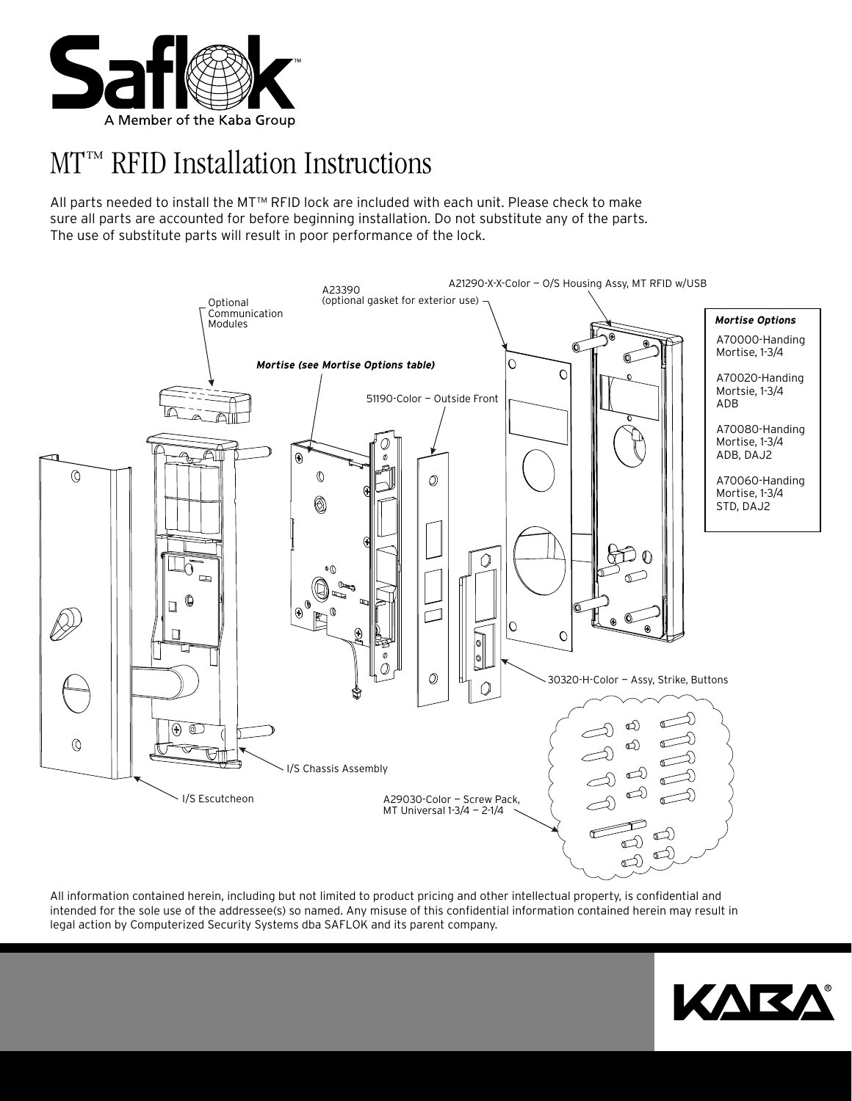

# MT™ RFID Installation Instructions

All parts needed to install the MT™ RFID lock are included with each unit. Please check to make sure all parts are accounted for before beginning installation. Do not substitute any of the parts. The use of substitute parts will result in poor performance of the lock.



All information contained herein, including but not limited to product pricing and other intellectual property, is confidential and intended for the sole use of the addressee(s) so named. Any misuse of this confidential information contained herein may result in legal action by Computerized Security Systems dba SAFLOK and its parent company.

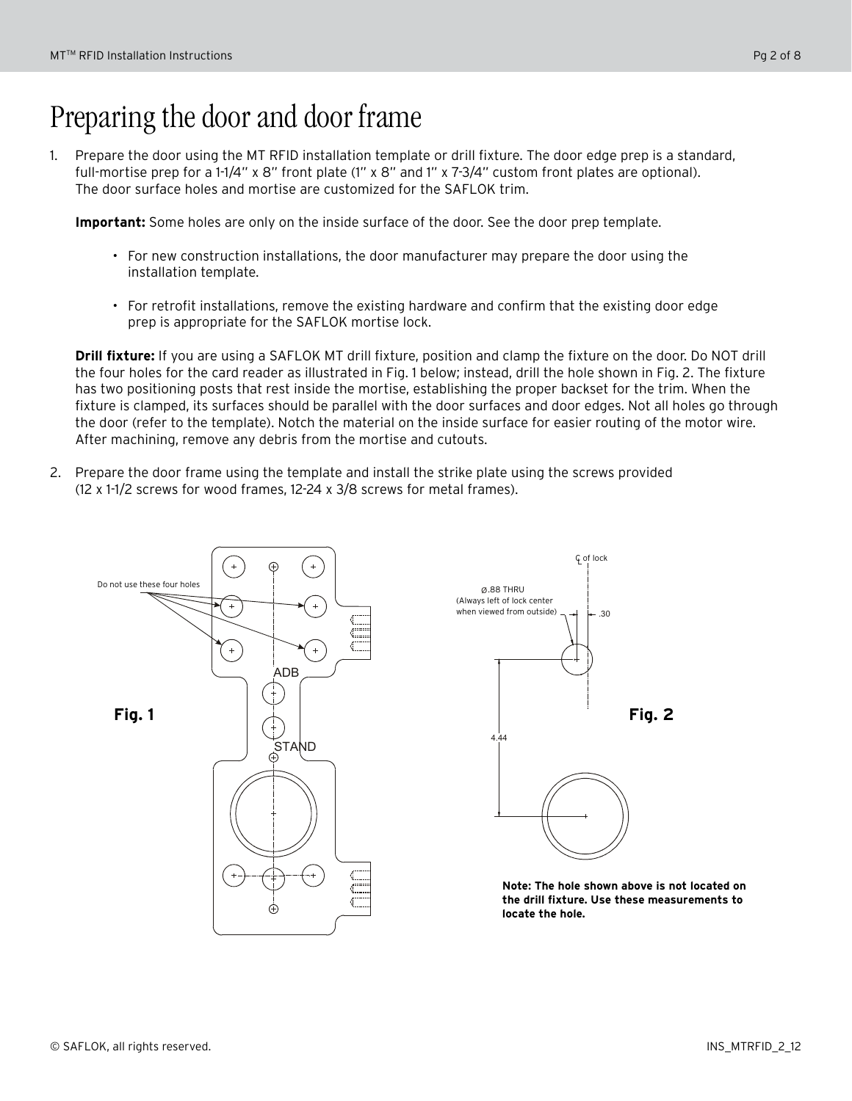# Preparing the door and door frame

1. Prepare the door using the MT RFID installation template or drill fixture. The door edge prep is a standard, full-mortise prep for a 1-1/4" x 8" front plate (1" x 8" and 1" x 7-3/4" custom front plates are optional). The door surface holes and mortise are customized for the SAFLOK trim.

**Important:** Some holes are only on the inside surface of the door. See the door prep template.

- • For new construction installations, the door manufacturer may prepare the door using the installation template.
- • For retrofit installations, remove the existing hardware and confirm that the existing door edge prep is appropriate for the SAFLOK mortise lock.

**Drill fixture:** If you are using a SAFLOK MT drill fixture, position and clamp the fixture on the door. Do NOT drill the four holes for the card reader as illustrated in Fig. 1 below; instead, drill the hole shown in Fig. 2. The fixture has two positioning posts that rest inside the mortise, establishing the proper backset for the trim. When the fixture is clamped, its surfaces should be parallel with the door surfaces and door edges. Not all holes go through the door (refer to the template). Notch the material on the inside surface for easier routing of the motor wire. After machining, remove any debris from the mortise and cutouts.

2. Prepare the door frame using the template and install the strike plate using the screws provided (12 x 1-1/2 screws for wood frames, 12-24 x 3/8 screws for metal frames).





**Note: The hole shown above is not located on the drill fixture. Use these measurements to locate the hole.**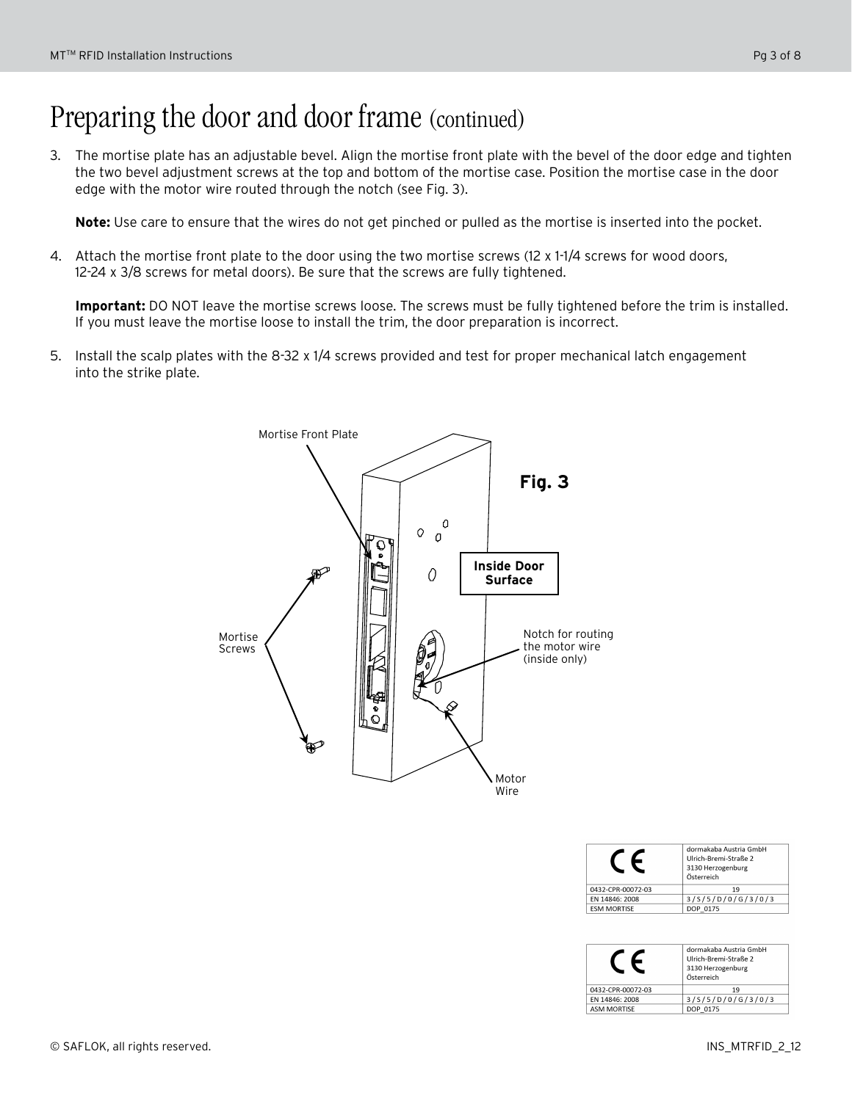# Preparing the door and door frame (continued)

3. The mortise plate has an adjustable bevel. Align the mortise front plate with the bevel of the door edge and tighten the two bevel adjustment screws at the top and bottom of the mortise case. Position the mortise case in the door edge with the motor wire routed through the notch (see Fig. 3).

**Note:** Use care to ensure that the wires do not get pinched or pulled as the mortise is inserted into the pocket.

4. Attach the mortise front plate to the door using the two mortise screws (12 x 1-1/4 screws for wood doors, 12-24 x 3/8 screws for metal doors). Be sure that the screws are fully tightened.

**Important:** DO NOT leave the mortise screws loose. The screws must be fully tightened before the trim is installed. If you must leave the mortise loose to install the trim, the door preparation is incorrect.

5. Install the scalp plates with the 8-32 x 1/4 screws provided and test for proper mechanical latch engagement into the strike plate.



|                    | dormakaba Austria GmbH<br>Ulrich-Bremi-Straße 2<br>3130 Herzogenburg<br>Österreich |
|--------------------|------------------------------------------------------------------------------------|
| 0432-CPR-00072-03  | 19                                                                                 |
| EN 14846: 2008     | 3/5/5/D/0/G/3/0/3                                                                  |
| <b>ESM MORTISE</b> |                                                                                    |

|                    | dormakaba Austria GmbH<br>Ulrich-Bremi-Straße 2<br>3130 Herzogenburg<br>Österreich |
|--------------------|------------------------------------------------------------------------------------|
| 0432-CPR-00072-03  | 19                                                                                 |
| FN 14846: 2008     | 3/5/5/D/0/G/3/0/3                                                                  |
| <b>ASM MORTISE</b> | DOP 0175                                                                           |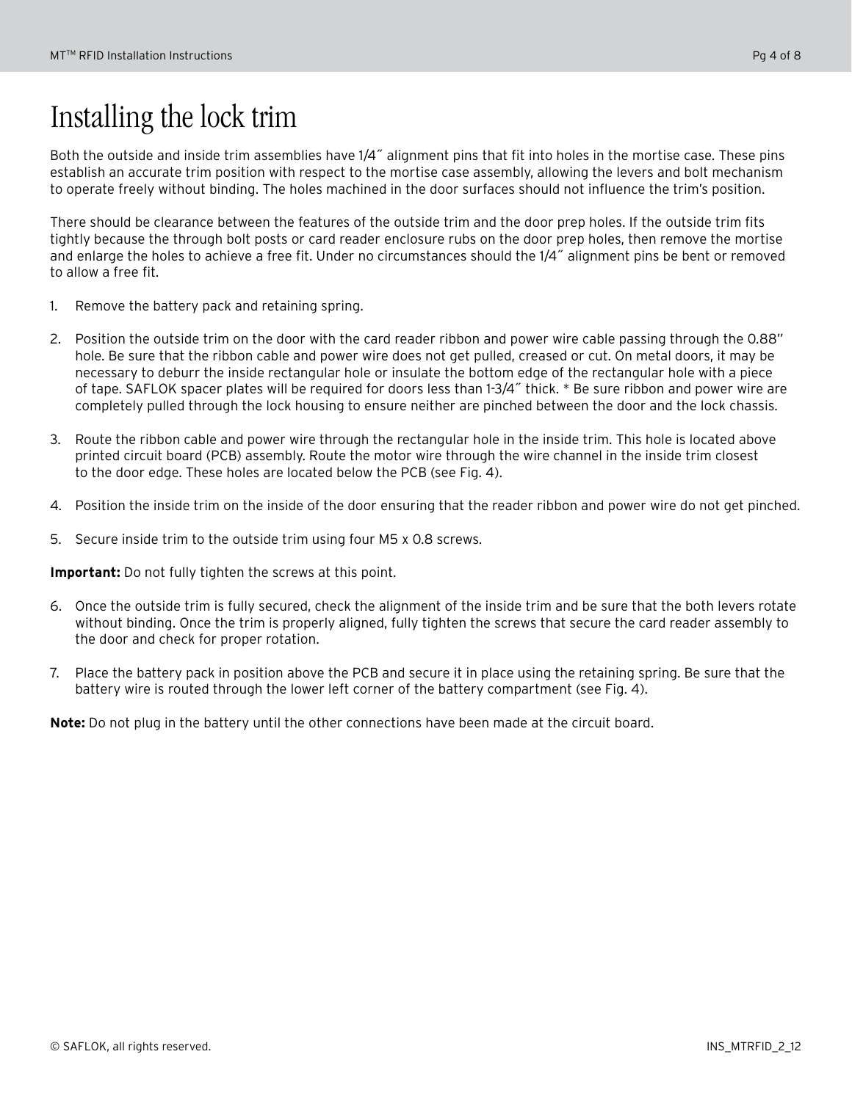# Installing the lock trim

Both the outside and inside trim assemblies have 1/4˝ alignment pins that fit into holes in the mortise case. These pins establish an accurate trim position with respect to the mortise case assembly, allowing the levers and bolt mechanism to operate freely without binding. The holes machined in the door surfaces should not influence the trim's position.

There should be clearance between the features of the outside trim and the door prep holes. If the outside trim fits tightly because the through bolt posts or card reader enclosure rubs on the door prep holes, then remove the mortise and enlarge the holes to achieve a free fit. Under no circumstances should the 1/4˝ alignment pins be bent or removed to allow a free fit.

- 1. Remove the battery pack and retaining spring.
- 2. Position the outside trim on the door with the card reader ribbon and power wire cable passing through the 0.88" hole. Be sure that the ribbon cable and power wire does not get pulled, creased or cut. On metal doors, it may be necessary to deburr the inside rectangular hole or insulate the bottom edge of the rectangular hole with a piece of tape. SAFLOK spacer plates will be required for doors less than 1-3/4˝ thick. \* Be sure ribbon and power wire are completely pulled through the lock housing to ensure neither are pinched between the door and the lock chassis.
- 3. Route the ribbon cable and power wire through the rectangular hole in the inside trim. This hole is located above printed circuit board (PCB) assembly. Route the motor wire through the wire channel in the inside trim closest to the door edge. These holes are located below the PCB (see Fig. 4).
- 4. Position the inside trim on the inside of the door ensuring that the reader ribbon and power wire do not get pinched.
- 5. Secure inside trim to the outside trim using four M5 x 0.8 screws.

**Important:** Do not fully tighten the screws at this point.

- 6. Once the outside trim is fully secured, check the alignment of the inside trim and be sure that the both levers rotate without binding. Once the trim is properly aligned, fully tighten the screws that secure the card reader assembly to the door and check for proper rotation.
- 7. Place the battery pack in position above the PCB and secure it in place using the retaining spring. Be sure that the battery wire is routed through the lower left corner of the battery compartment (see Fig. 4).

**Note:** Do not plug in the battery until the other connections have been made at the circuit board.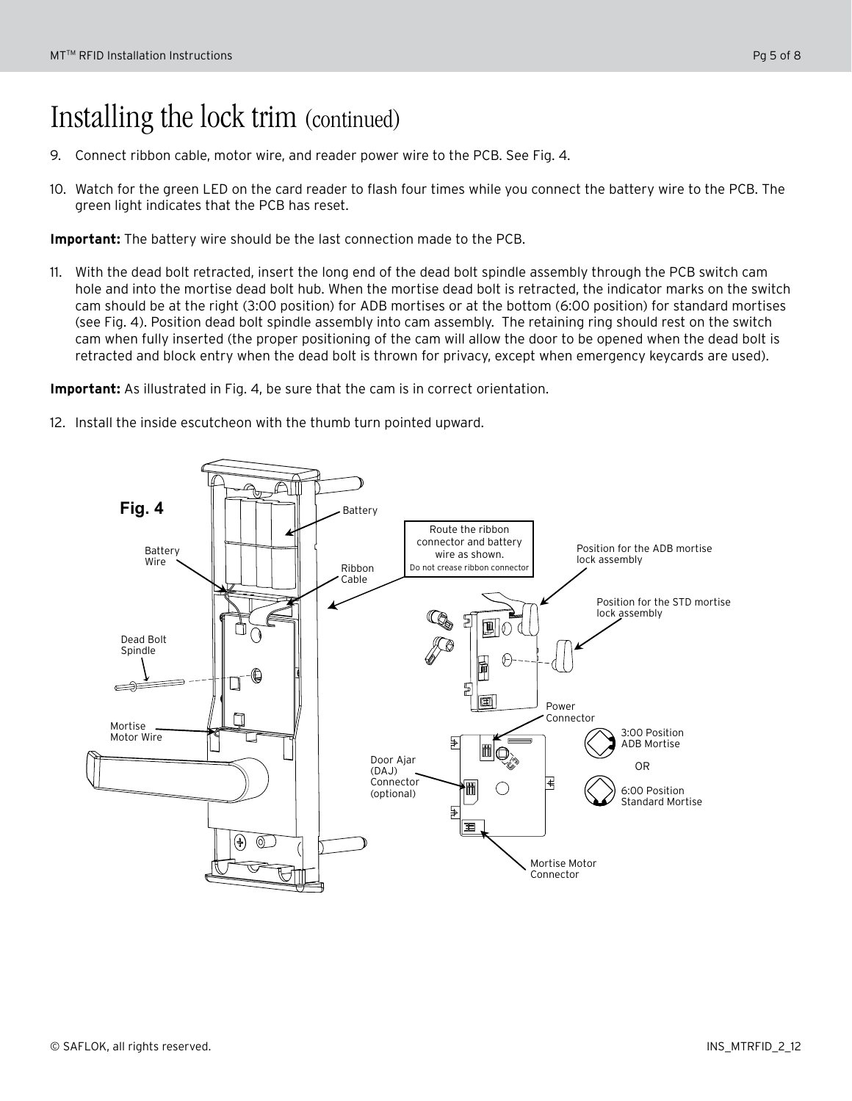### Installing the lock trim (continued)

- 9. Connect ribbon cable, motor wire, and reader power wire to the PCB. See Fig. 4.
- 10. Watch for the green LED on the card reader to flash four times while you connect the battery wire to the PCB. The green light indicates that the PCB has reset.

**Important:** The battery wire should be the last connection made to the PCB.

11. With the dead bolt retracted, insert the long end of the dead bolt spindle assembly through the PCB switch cam hole and into the mortise dead bolt hub. When the mortise dead bolt is retracted, the indicator marks on the switch cam should be at the right (3:00 position) for ADB mortises or at the bottom (6:00 position) for standard mortises (see Fig. 4). Position dead bolt spindle assembly into cam assembly. The retaining ring should rest on the switch cam when fully inserted (the proper positioning of the cam will allow the door to be opened when the dead bolt is retracted and block entry when the dead bolt is thrown for privacy, except when emergency keycards are used).

**Important:** As illustrated in Fig. 4, be sure that the cam is in correct orientation.

12. Install the inside escutcheon with the thumb turn pointed upward.

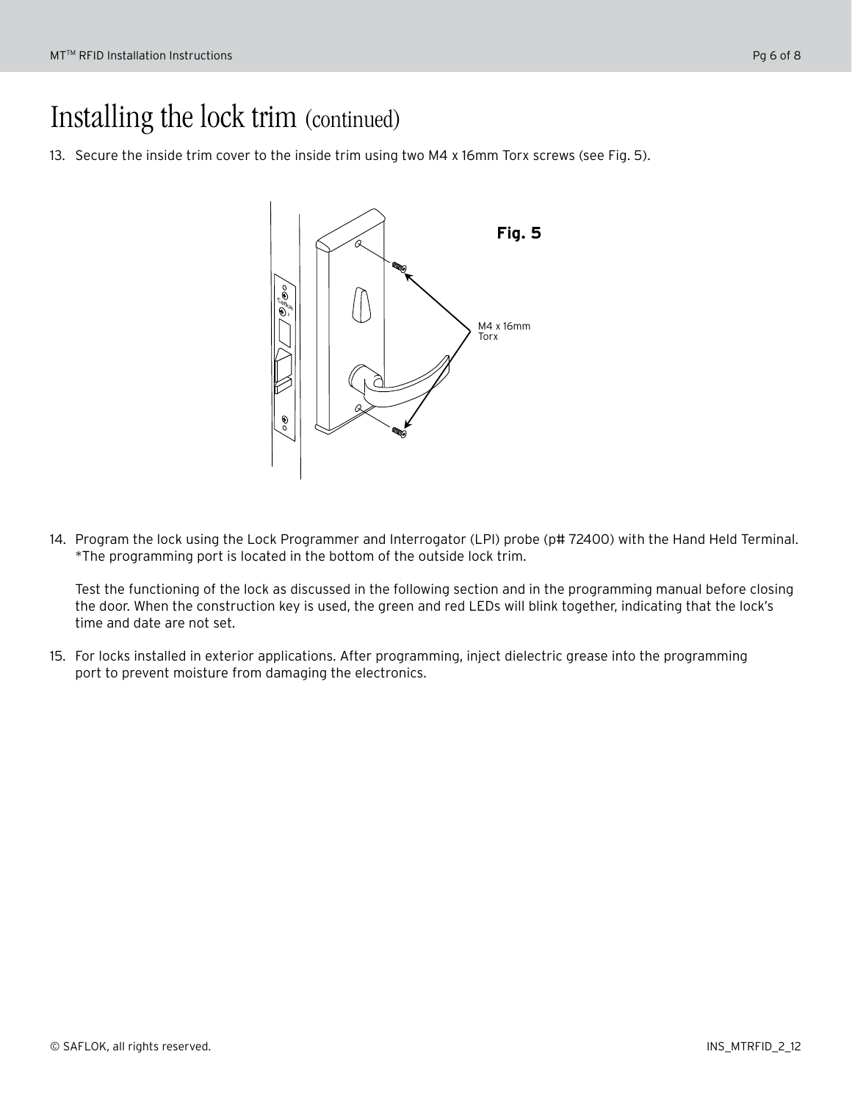## Installing the lock trim (continued)

13. Secure the inside trim cover to the inside trim using two M4 x 16mm Torx screws (see Fig. 5).



14. Program the lock using the Lock Programmer and Interrogator (LPI) probe (p# 72400) with the Hand Held Terminal. \*The programming port is located in the bottom of the outside lock trim.

Test the functioning of the lock as discussed in the following section and in the programming manual before closing the door. When the construction key is used, the green and red LEDs will blink together, indicating that the lock's time and date are not set.

15. For locks installed in exterior applications. After programming, inject dielectric grease into the programming port to prevent moisture from damaging the electronics.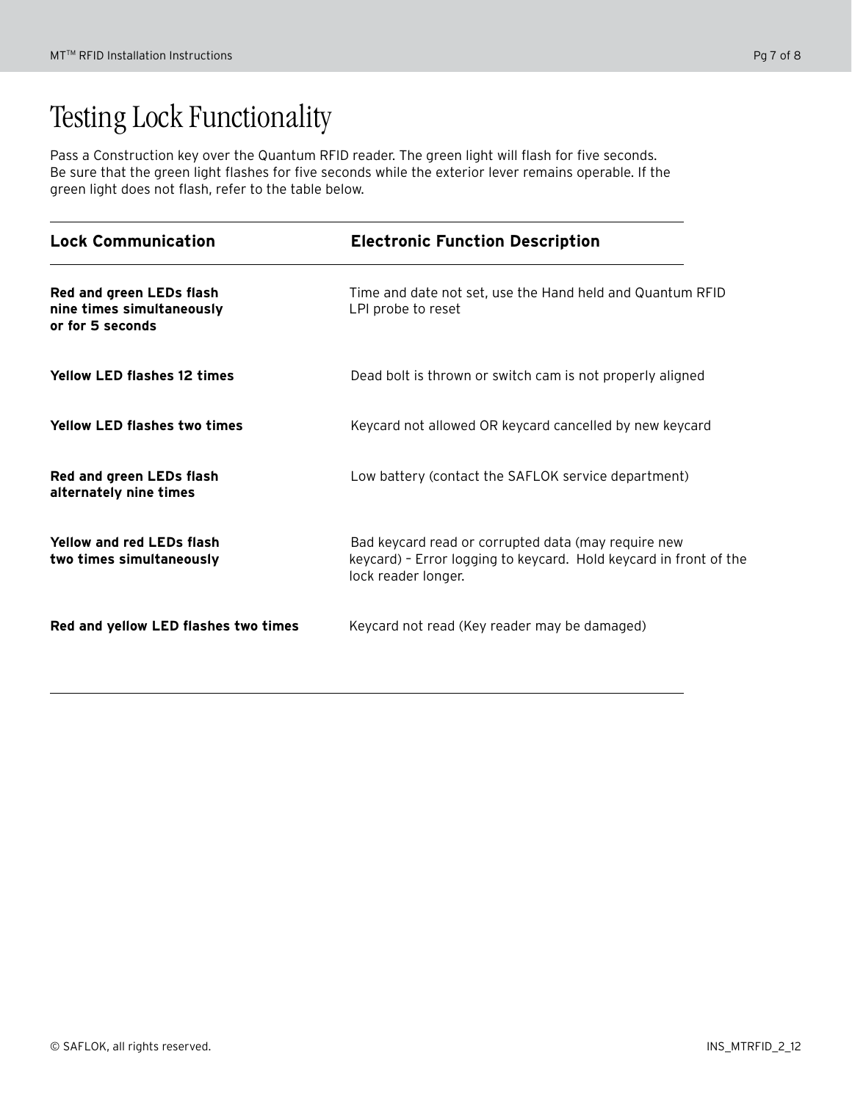# Testing Lock Functionality

Pass a Construction key over the Quantum RFID reader. The green light will flash for five seconds. Be sure that the green light flashes for five seconds while the exterior lever remains operable. If the green light does not flash, refer to the table below.

| <b>Lock Communication</b>                                                 | <b>Electronic Function Description</b>                                                                                                          |
|---------------------------------------------------------------------------|-------------------------------------------------------------------------------------------------------------------------------------------------|
| Red and green LEDs flash<br>nine times simultaneously<br>or for 5 seconds | Time and date not set, use the Hand held and Quantum RFID<br>LPI probe to reset                                                                 |
| <b>Yellow LED flashes 12 times</b>                                        | Dead bolt is thrown or switch cam is not properly aligned                                                                                       |
| <b>Yellow LED flashes two times</b>                                       | Keycard not allowed OR keycard cancelled by new keycard                                                                                         |
| Red and green LEDs flash<br>alternately nine times                        | Low battery (contact the SAFLOK service department)                                                                                             |
| <b>Yellow and red LEDs flash</b><br>two times simultaneously              | Bad keycard read or corrupted data (may require new<br>keycard) - Error logging to keycard. Hold keycard in front of the<br>lock reader longer. |
| Red and yellow LED flashes two times                                      | Keycard not read (Key reader may be damaged)                                                                                                    |